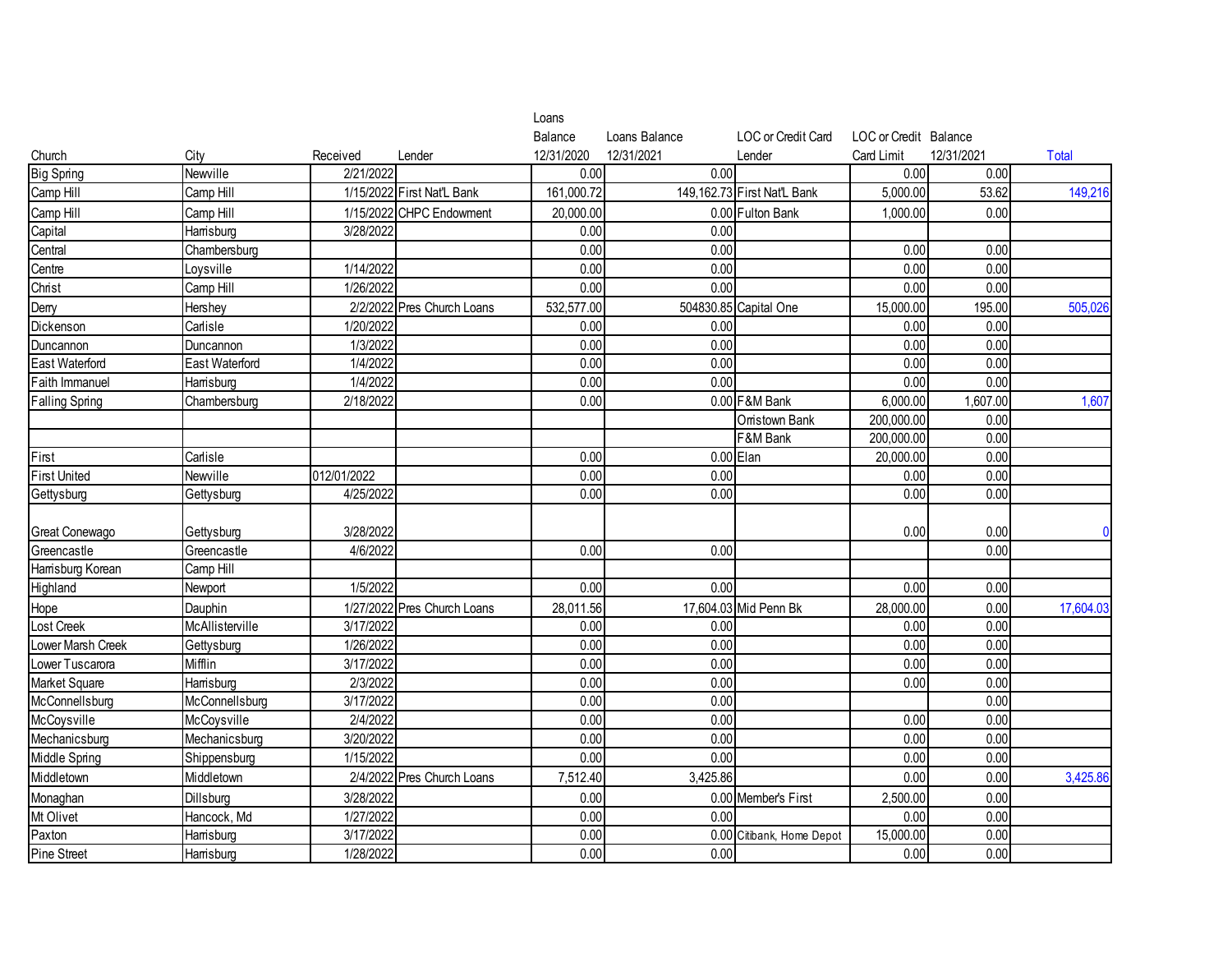|                       |                 |             |                             | Loans      |               |                               |                       |            |                |
|-----------------------|-----------------|-------------|-----------------------------|------------|---------------|-------------------------------|-----------------------|------------|----------------|
|                       |                 |             |                             | Balance    | Loans Balance | LOC or Credit Card            | LOC or Credit Balance |            |                |
| Church                | City            | Received    | Lender                      | 12/31/2020 | 12/31/2021    | Lender                        | Card Limit            | 12/31/2021 | <b>Total</b>   |
| <b>Big Spring</b>     | Newville        | 2/21/2022   |                             | 0.00       | 0.00          |                               | 0.00                  | 0.00       |                |
| Camp Hill             | Camp Hill       |             | 1/15/2022 First Nat'L Bank  | 161,000.72 |               | 149, 162. 73 First Nat'L Bank | 5,000.00              | 53.62      | 149,216        |
| Camp Hill             | Camp Hill       |             | 1/15/2022 CHPC Endowment    | 20,000.00  |               | 0.00 Fulton Bank              | 1,000.00              | 0.00       |                |
| Capital               | Hamsburg        | 3/28/2022   |                             | 0.00       | 0.00          |                               |                       |            |                |
| Central               | Chambersburg    |             |                             | 0.00       | 0.00          |                               | 0.00                  | 0.00       |                |
| Centre                | Loysville       | 1/14/2022   |                             | 0.00       | 0.00          |                               | 0.00                  | 0.00       |                |
| Christ                | Camp Hill       | 1/26/2022   |                             | 0.00       | 0.00          |                               | 0.00                  | 0.00       |                |
| Demy                  | Hershey         |             | 2/2/2022 Pres Church Loans  | 532,577.00 |               | 504830.85 Capital One         | 15,000.00             | 195.00     | 505,026        |
| Dickenson             | Carlisle        | 1/20/2022   |                             | 0.00       | 0.00          |                               | 0.00                  | 0.00       |                |
| Duncannon             | Duncannon       | 1/3/2022    |                             | 0.00       | 0.00          |                               | 0.00                  | 0.00       |                |
| <b>East Waterford</b> | East Waterford  | 1/4/2022    |                             | 0.00       | 0.00          |                               | 0.00                  | 0.00       |                |
| Faith Immanuel        | Hamsburg        | 1/4/2022    |                             | 0.00       | 0.00          |                               | 0.00                  | 0.00       |                |
| <b>Falling Spring</b> | Chambersburg    | 2/18/2022   |                             | 0.00       |               | 0.00 F&M Bank                 | 6,000.00              | 1,607.00   | 1,607          |
|                       |                 |             |                             |            |               | Orristown Bank                | 200,000.00            | 0.00       |                |
|                       |                 |             |                             |            |               | F&M Bank                      | 200,000.00            | 0.00       |                |
| First                 | Carlisle        |             |                             | 0.00       |               | $0.00$ Elan                   | 20,000.00             | 0.00       |                |
| <b>First United</b>   | Newville        | 012/01/2022 |                             | 0.00       | 0.00          |                               | 0.00                  | 0.00       |                |
| Gettysburg            | Gettysburg      | 4/25/2022   |                             | 0.00       | 0.00          |                               | 0.00                  | 0.00       |                |
|                       |                 |             |                             |            |               |                               |                       |            |                |
| <b>Great Conewago</b> | Gettysburg      | 3/28/2022   |                             |            |               |                               | 0.00                  | 0.00       | $\overline{0}$ |
| Greencastle           | Greencastle     | 4/6/2022    |                             | 0.00       | 0.00          |                               |                       | 0.00       |                |
| Hamsburg Korean       | Camp Hill       |             |                             |            |               |                               |                       |            |                |
| Highland              | Newport         | 1/5/2022    |                             | 0.00       | 0.00          |                               | 0.00                  | 0.00       |                |
| Hope                  | Dauphin         |             | 1/27/2022 Pres Church Loans | 28,011.56  |               | 17,604.03 Mid Penn Bk         | 28,000.00             | 0.00       | 17,604.03      |
| _ost Creek            | McAllisterville | 3/17/2022   |                             | 0.00       | 0.00          |                               | 0.00                  | 0.00       |                |
| Lower Marsh Creek     | Gettysburg      | 1/26/2022   |                             | 0.00       | 0.00          |                               | 0.00                  | 0.00       |                |
| Lower Tuscarora       | Mifflin         | 3/17/2022   |                             | 0.00       | 0.00          |                               | 0.00                  | 0.00       |                |
| Market Square         | Hamsburg        | 2/3/2022    |                             | 0.00       | 0.00          |                               | 0.00                  | 0.00       |                |
| McConnellsburg        | McConnellsburg  | 3/17/2022   |                             | 0.00       | 0.00          |                               |                       | 0.00       |                |
| McCoysville           | McCoysville     | 2/4/2022    |                             | 0.00       | 0.00          |                               | 0.00                  | 0.00       |                |
| Mechanicsburg         | Mechanicsburg   | 3/20/2022   |                             | 0.00       | 0.00          |                               | 0.00                  | 0.00       |                |
| Middle Spring         | Shippensburg    | 1/15/2022   |                             | 0.00       | 0.00          |                               | 0.00                  | 0.00       |                |
| Middletown            | Middletown      |             | 2/4/2022 Pres Church Loans  | 7,512.40   | 3,425.86      |                               | 0.00                  | 0.00       | 3,425.86       |
| Monaghan              | Dillsburg       | 3/28/2022   |                             | 0.00       |               | 0.00 Member's First           | 2,500.00              | 0.00       |                |
| Mt Olivet             | Hancock, Md     | 1/27/2022   |                             | 0.00       | 0.00          |                               | 0.00                  | 0.00       |                |
| Paxton                | Hamsburg        | 3/17/2022   |                             | 0.00       |               | 0.00 Citibank, Home Depot     | 15,000.00             | 0.00       |                |
| <b>Pine Street</b>    | Hamsburg        | 1/28/2022   |                             | 0.00       | 0.00          |                               | 0.00                  | 0.00       |                |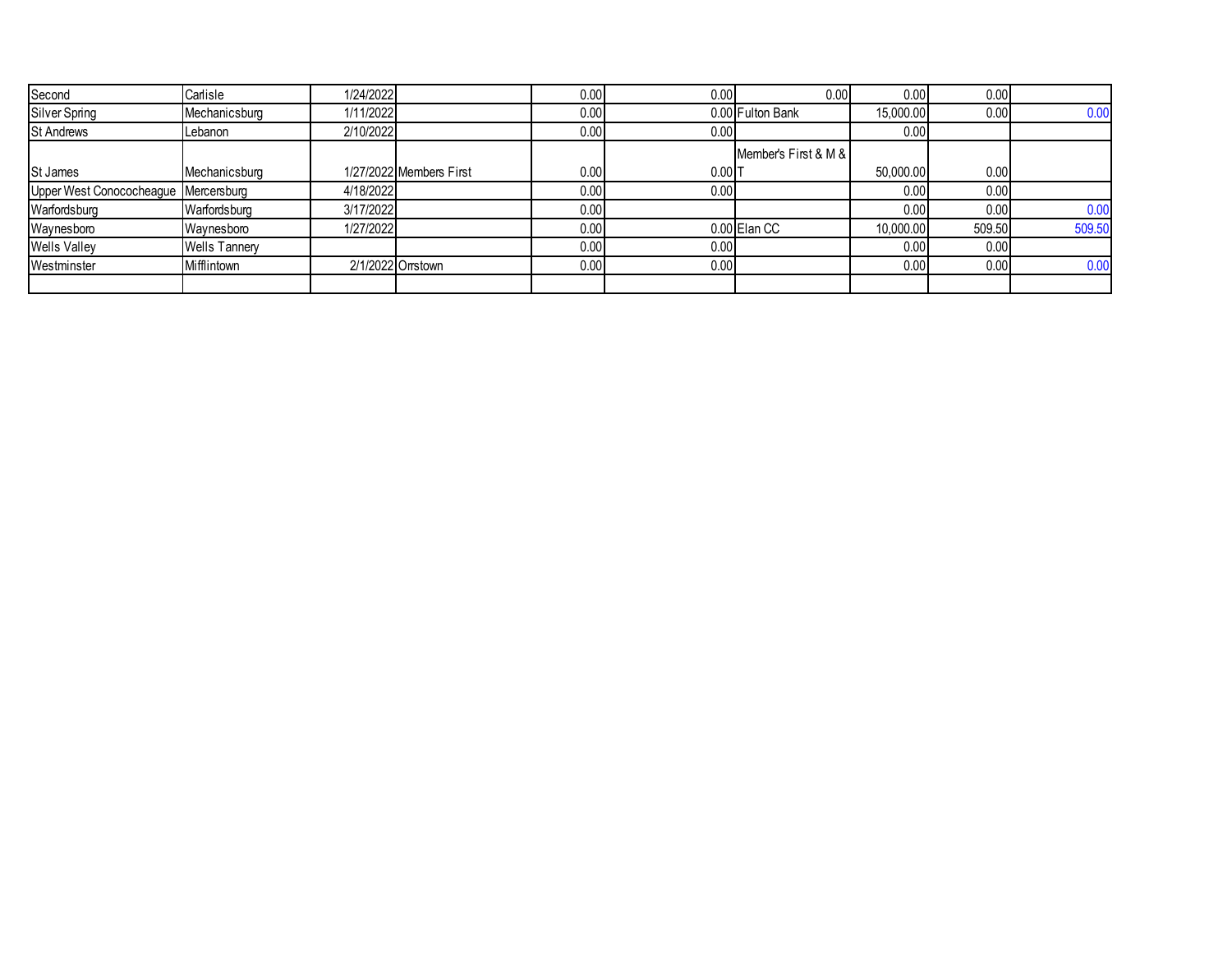| Second                               | Carlisle             | 1/24/2022 |                         | 0.00  | 0.001                | 0.00                 | 0.00      | 0.00   |        |
|--------------------------------------|----------------------|-----------|-------------------------|-------|----------------------|----------------------|-----------|--------|--------|
| Silver Spring                        | Mechanicsburg        | 1/11/2022 |                         | 0.001 |                      | 0.00 Fulton Bank     | 15,000.00 | 0.00   | 0.00   |
| <b>St Andrews</b>                    | Lebanon              | 2/10/2022 |                         | 0.00  | 0.00                 |                      | 0.00      |        |        |
|                                      |                      |           |                         |       |                      | Member's First & M & |           |        |        |
| St James                             | Mechanicsburg        |           | 1/27/2022 Members First | 0.001 | $0.00$ <sub>IT</sub> |                      | 50,000.00 | 0.00   |        |
| Upper West Conococheague Mercersburg |                      | 4/18/2022 |                         | 0.001 | 0.00                 |                      | 0.00      | 0.00   |        |
| Warfordsburg                         | Warfordsburg         | 3/17/2022 |                         | 0.001 |                      |                      | 0.00      | 0.00   | 0.00   |
| Waynesboro                           | Waynesboro           | 1/27/2022 |                         | 0.00  |                      | 0.00 Elan CC         | 10,000.00 | 509.50 | 509.50 |
| <b>Wells Valley</b>                  | <b>Wells Tannery</b> |           |                         | 0.00  | 0.00                 |                      | 0.00      | 0.00   |        |
| Westminster                          | Mifflintown          |           | 2/1/2022 Orrstown       | 0.00  | 0.001                |                      | 0.00      | 0.00   | 0.00   |
|                                      |                      |           |                         |       |                      |                      |           |        |        |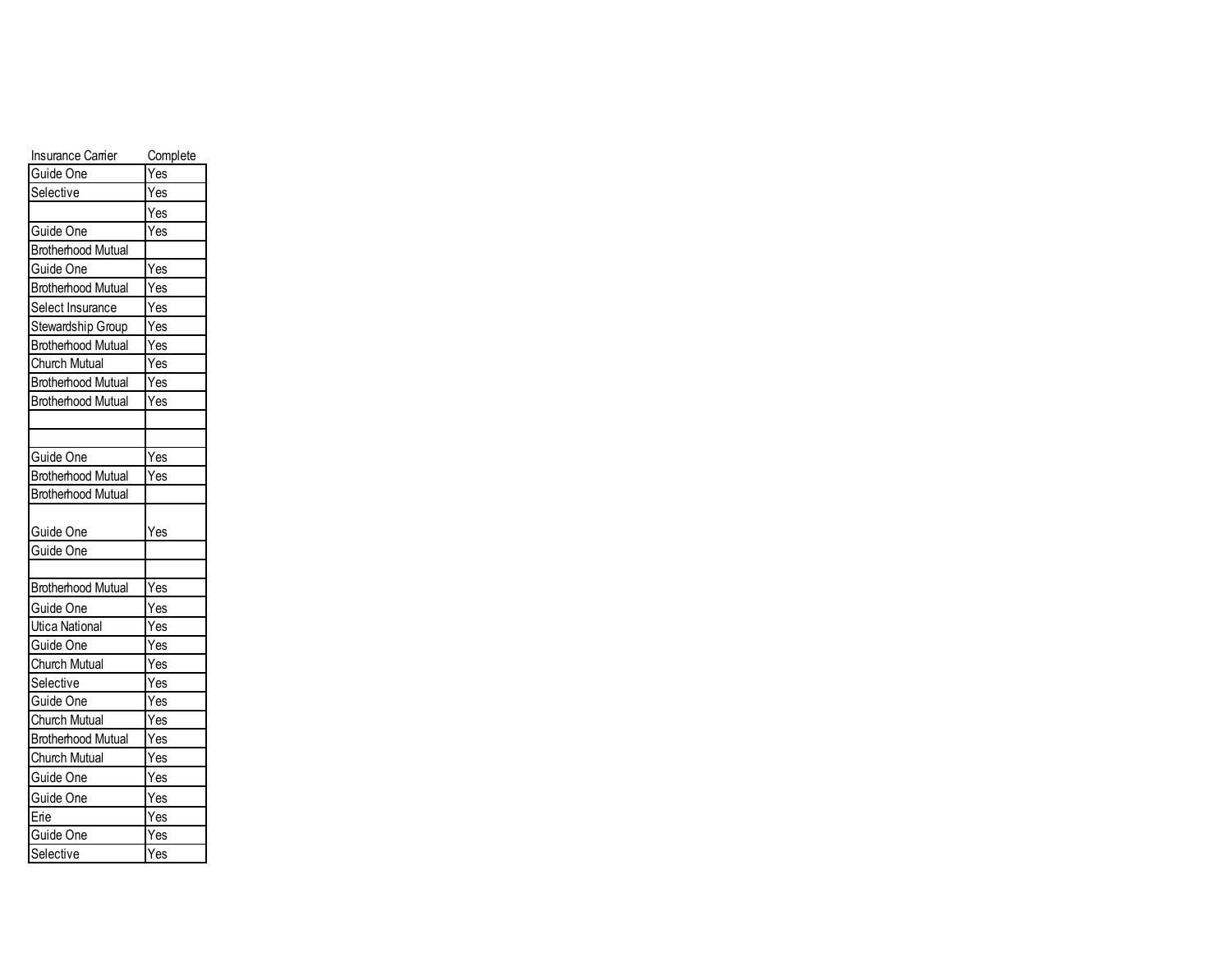| <b>Insurance Carrier</b>  | Complete |
|---------------------------|----------|
| Guide One                 | Yes      |
| Selective                 | Yes      |
|                           | Yes      |
| Guide One                 | Yes      |
| <b>Brotherhood Mutual</b> |          |
| Guide One                 | Yes      |
| <b>Brotherhood Mutual</b> | Yes      |
| Select Insurance          | Yes      |
| Stewardship Group         | Yes      |
| <b>Brotherhood Mutual</b> | Yes      |
| Church Mutual             | Yes      |
| <b>Brotherhood Mutual</b> | Yes      |
| <b>Brotherhood Mutual</b> | Yes      |
|                           |          |
|                           |          |
| Guide One                 | Yes      |
| <b>Brotherhood Mutual</b> | Yes      |
| <b>Brotherhood Mutual</b> |          |
|                           |          |
| Guide One                 | Yes      |
| Guide One                 |          |
|                           |          |
| <b>Brotherhood Mutual</b> | Yes      |
| Guide One                 | Yes      |
| <b>Utica National</b>     | Yes      |
| Guide One                 | Yes      |
| <b>Church Mutual</b>      | Yes      |
| Selective                 | Yes      |
| Guide One                 | Yes      |
| Church Mutual             | Yes      |
| <b>Brotherhood Mutual</b> | Yes      |
| Church Mutual             | Yes      |
| Guide One                 | Yes      |
| Guide One                 | Yes      |
| Erie                      | Yes      |
| Guide One                 | Yes      |
| Selective                 | Yes      |